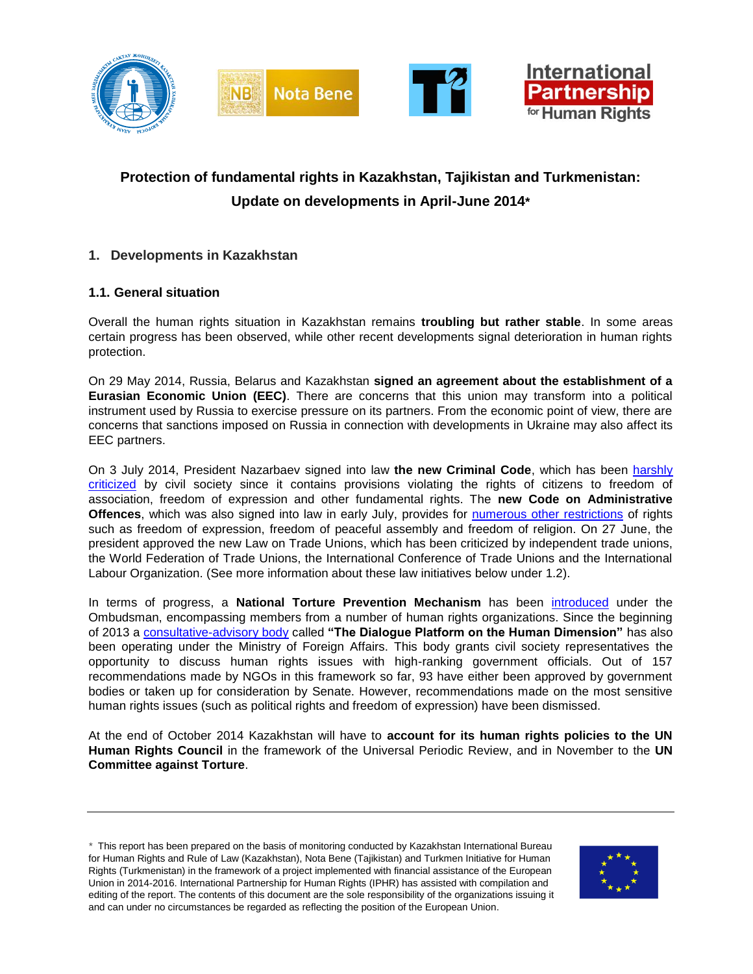

# **Protection of fundamental rights in Kazakhstan, Tajikistan and Turkmenistan: Update on developments in April-June 2014\***

# **1. Developments in Kazakhstan**

# **1.1. General situation**

Overall the human rights situation in Kazakhstan remains **troubling but rather stable**. In some areas certain progress has been observed, while other recent developments signal deterioration in human rights protection.

On 29 May 2014, Russia, Belarus and Kazakhstan **signed an agreement about the establishment of a Eurasian Economic Union (EEC)**. There are concerns that this union may transform into a political instrument used by Russia to exercise pressure on its partners. From the economic point of view, there are concerns that sanctions imposed on Russia in connection with developments in Ukraine may also affect its EEC partners.

On 3 July 2014, President Nazarbaev signed into law **the new Criminal Code**, which has been [harshly](http://www.bureau.kz/data.php?page=0&n_id=7177&l=en)  [criticized](http://www.bureau.kz/data.php?page=0&n_id=7177&l=en) by civil society since it contains provisions violating the rights of citizens to freedom of association, freedom of expression and other fundamental rights. The **new Code on Administrative Offences**, which was also signed into law in early July, provides for [numerous other restrictions](http://bureau.kz/data.php?page=7&n_id=6997&l=ru) of rights such as freedom of expression, freedom of peaceful assembly and freedom of religion. On 27 June, the president approved the new Law on Trade Unions, which has been criticized by independent trade unions, the World Federation of Trade Unions, the International Conference of Trade Unions and the International Labour Organization. (See more information about these law initiatives below under 1.2).

In terms of progress, a **National Torture Prevention Mechanism** has been [introduced](http://www.pavlodar.com/zakon/?dok=00108&all=04004) under the Ombudsman, encompassing members from a number of human rights organizations. Since the beginning of 2013 a [consultative-advisory body](http://eng.kso.bureau.kz/) called **"The Dialogue Platform on the Human Dimension"** has also been operating under the Ministry of Foreign Affairs. This body grants civil society representatives the opportunity to discuss human rights issues with high-ranking government officials. Out of 157 recommendations made by NGOs in this framework so far, 93 have either been approved by government bodies or taken up for consideration by Senate. However, recommendations made on the most sensitive human rights issues (such as political rights and freedom of expression) have been dismissed.

At the end of October 2014 Kazakhstan will have to **account for its human rights policies to the UN Human Rights Council** in the framework of the Universal Periodic Review, and in November to the **UN Committee against Torture**.

*\** This report has been prepared on the basis of monitoring conducted by Kazakhstan International Bureau for Human Rights and Rule of Law (Kazakhstan), Nota Bene (Tajikistan) and Turkmen Initiative for Human Rights (Turkmenistan) in the framework of a project implemented with financial assistance of the European Union in 2014-2016. International Partnership for Human Rights (IPHR) has assisted with compilation and editing of the report. The contents of this document are the sole responsibility of the organizations issuing it and can under no circumstances be regarded as reflecting the position of the European Union.

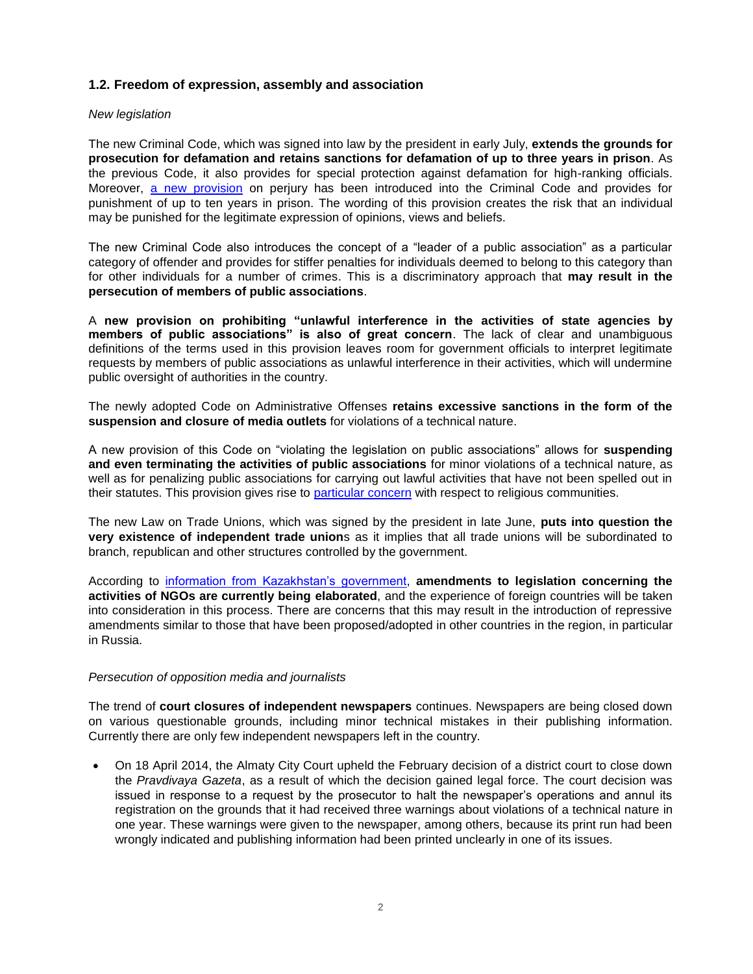# **1.2. Freedom of expression, assembly and association**

#### *New legislation*

The new Criminal Code, which was signed into law by the president in early July, **extends the grounds for prosecution for defamation and retains sanctions for defamation of up to three years in prison**. As the previous Code, it also provides for special protection against defamation for high-ranking officials. Moreover, [a new provision](http://tengrinews.kz/kazakhstan_news/6-maya-kazahstantsyi-rasprostranenie-zavedomo-lojnoy-informatsii-mogut-lishitsya-254855/) on perjury has been introduced into the Criminal Code and provides for punishment of up to ten years in prison. The wording of this provision creates the risk that an individual may be punished for the legitimate expression of opinions, views and beliefs.

The new Criminal Code also introduces the concept of a "leader of a public association" as a particular category of offender and provides for stiffer penalties for individuals deemed to belong to this category than for other individuals for a number of crimes. This is a discriminatory approach that **may result in the persecution of members of public associations**.

A **new provision on prohibiting "unlawful interference in the activities of state agencies by members of public associations" is also of great concern**. The lack of clear and unambiguous definitions of the terms used in this provision leaves room for government officials to interpret legitimate requests by members of public associations as unlawful interference in their activities, which will undermine public oversight of authorities in the country.

The newly adopted Code on Administrative Offenses **retains excessive sanctions in the form of the suspension and closure of media outlets** for violations of a technical nature.

A new provision of this Code on "violating the legislation on public associations" allows for **suspending and even terminating the activities of public associations** for minor violations of a technical nature, as well as for penalizing public associations for carrying out lawful activities that have not been spelled out in their statutes. This provision gives rise to [particular concern](http://bureau.kz/data.php?page=7&n_id=6997&l=ru) with respect to religious communities.

The new Law on Trade Unions, which was signed by the president in late June, **puts into question the very existence of independent trade union**s as it implies that all trade unions will be subordinated to branch, republican and other structures controlled by the government.

According to [information from Kazakhstan's government,](http://medialaw.asia/posts/08-07-2014/83196.html) **amendments to legislation concerning the activities of NGOs are currently being elaborated**, and the experience of foreign countries will be taken into consideration in this process. There are concerns that this may result in the introduction of repressive amendments similar to those that have been proposed/adopted in other countries in the region, in particular in Russia.

#### *Persecution of opposition media and journalists*

The trend of **court closures of independent newspapers** continues. Newspapers are being closed down on various questionable grounds, including minor technical mistakes in their publishing information. Currently there are only few independent newspapers left in the country.

 On 18 April 2014, the Almaty City Court upheld the February decision of a district court to close down the *Pravdivaya Gazeta*, as a result of which the decision gained legal force. The court decision was issued in response to a request by the prosecutor to halt the newspaper's operations and annul its registration on the grounds that it had received three warnings about violations of a technical nature in one year. These warnings were given to the newspaper, among others, because its print run had been wrongly indicated and publishing information had been printed unclearly in one of its issues.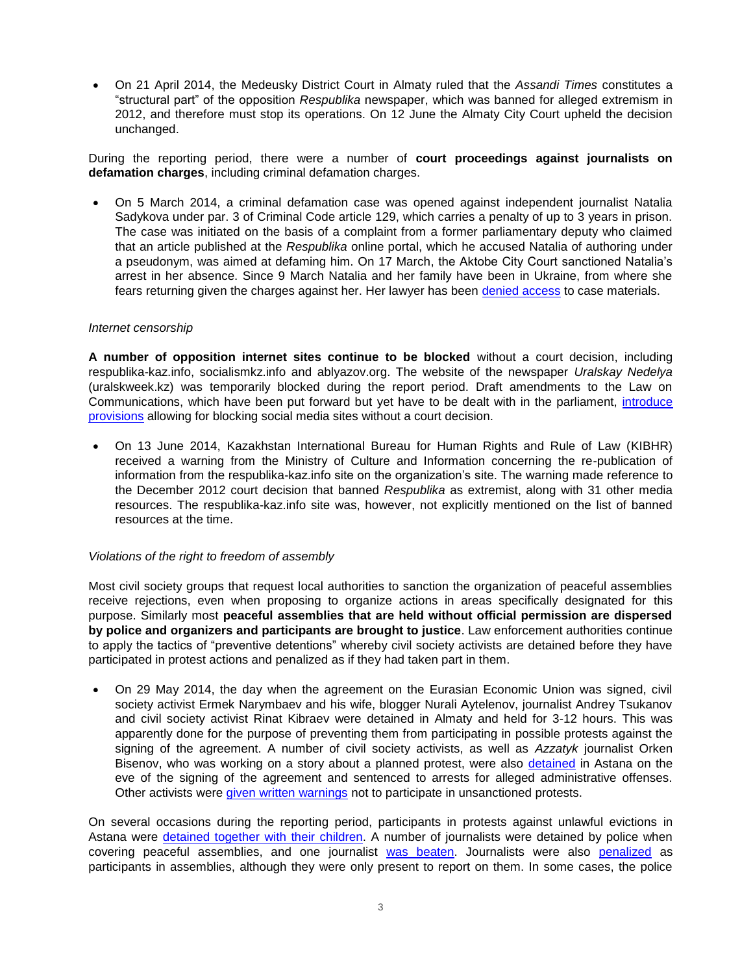On 21 April 2014, the Medeusky District Court in Almaty ruled that the *Assandi Times* constitutes a "structural part" of the opposition *Respublika* newspaper, which was banned for alleged extremism in 2012, and therefore must stop its operations. On 12 June the Almaty City Court upheld the decision unchanged.

During the reporting period, there were a number of **court proceedings against journalists on defamation charges**, including criminal defamation charges.

 On 5 March 2014, a criminal defamation case was opened against independent journalist Natalia Sadykova under par. 3 of Criminal Code article 129, which carries a penalty of up to 3 years in prison. The case was initiated on the basis of a complaint from a former parliamentary deputy who claimed that an article published at the *Respublika* online portal, which he accused Natalia of authoring under a pseudonym, was aimed at defaming him. On 17 March, the Aktobe City Court sanctioned Natalia's arrest in her absence. Since 9 March Natalia and her family have been in Ukraine, from where she fears returning given the charges against her. Her lawyer has been [denied access](http://www.bureau.kz/data.php?page=1&n_id=7193&l=ru) to case materials.

#### *Internet censorship*

**A number of opposition internet sites continue to be blocked** without a court decision, including respublika-kaz.info, socialismkz.info and ablyazov.org. The website of the newspaper *Uralskay Nedelya* (uralskweek.kz) was temporarily blocked during the report period. Draft amendments to the Law on Communications, which have been put forward but yet have to be dealt with in the parliament, [introduce](http://tengrinews.kz/kazakhstan_news/sotsseti-v-kazahstane-smogut-blokirovat-bez-resheniya-suda-253345/)  [provisions](http://tengrinews.kz/kazakhstan_news/sotsseti-v-kazahstane-smogut-blokirovat-bez-resheniya-suda-253345/) allowing for blocking social media sites without a court decision.

 On 13 June 2014, Kazakhstan International Bureau for Human Rights and Rule of Law (KIBHR) received a warning from the Ministry of Culture and Information concerning the re-publication of information from the respublika-kaz.info site on the organization's site. The warning made reference to the December 2012 court decision that banned *Respublika* as extremist, along with 31 other media resources. The respublika-kaz.info site was, however, not explicitly mentioned on the list of banned resources at the time.

#### *Violations of the right to freedom of assembly*

Most civil society groups that request local authorities to sanction the organization of peaceful assemblies receive rejections, even when proposing to organize actions in areas specifically designated for this purpose. Similarly most **peaceful assemblies that are held without official permission are dispersed by police and organizers and participants are brought to justice**. Law enforcement authorities continue to apply the tactics of "preventive detentions" whereby civil society activists are detained before they have participated in protest actions and penalized as if they had taken part in them.

 On 29 May 2014, the day when the agreement on the Eurasian Economic Union was signed, civil society activist Ermek Narymbaev and his wife, blogger Nurali Aytelenov, journalist Andrey Tsukanov and civil society activist Rinat Kibraev were detained in Almaty and held for 3-12 hours. This was apparently done for the purpose of preventing them from participating in possible protests against the signing of the agreement. A number of civil society activists, as well as *Azzatyk* journalist Orken Bisenov, who was working on a story about a planned protest, were also [detained](http://rus.azattyq.org/content/news/25402445.html) in Astana on the eve of the signing of the agreement and sentenced to arrests for alleged administrative offenses. Other activists were [given written warnings](http://rus.azattyq.org/content/protivniki-evraziyskogo-soyuza-davlenie/25402438.html) not to participate in unsanctioned protests.

On several occasions during the reporting period, participants in protests against unlawful evictions in Astana were [detained together with their children.](http://rus.azattyq.mobi/a/zaderzhanie-protestuyushih-v-astane/25329293.html) A number of journalists were detained by police when covering peaceful assemblies, and one journalist [was beaten.](http://3-sector.org/?p=2568) Journalists were also [penalized](http://rus.ozodi.mobi/a/25402309.html) as participants in assemblies, although they were only present to report on them. In some cases, the police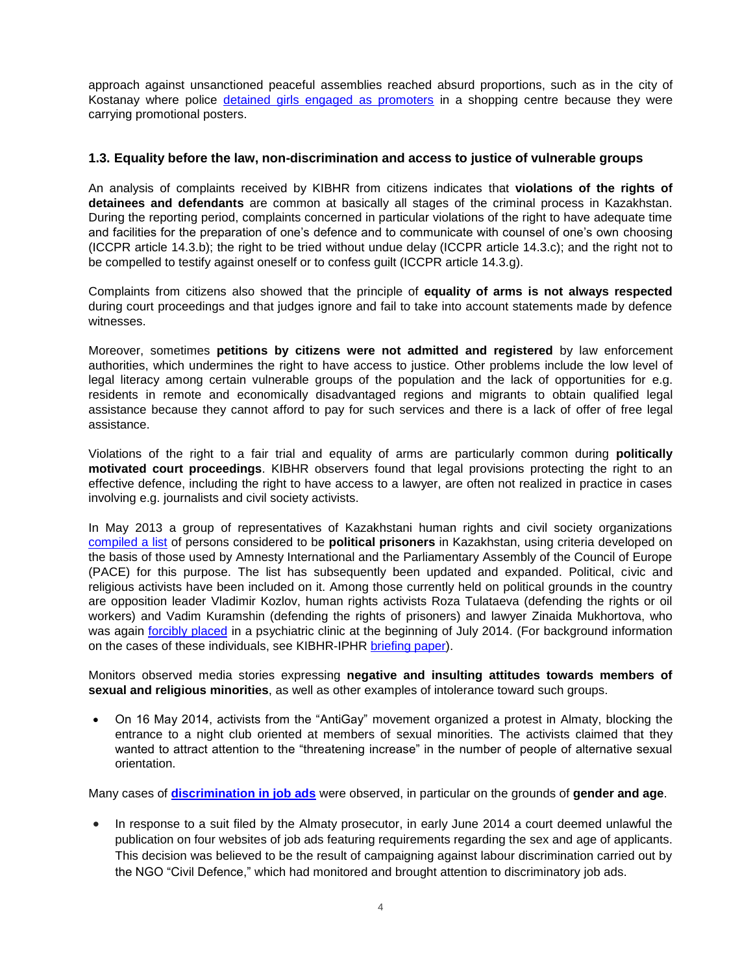approach against unsanctioned peaceful assemblies reached absurd proportions, such as in the city of Kostanay where police [detained girls engaged as promoters](http://www.civ-def.org/319-v-kostanae-policiya-zaderzhala-promouterov-za-nesankcionirovannuyu-akciyu-protesta.html) in a shopping centre because they were carrying promotional posters.

## **1.3. Equality before the law, non-discrimination and access to justice of vulnerable groups**

An analysis of complaints received by KIBHR from citizens indicates that **violations of the rights of detainees and defendants** are common at basically all stages of the criminal process in Kazakhstan. During the reporting period, complaints concerned in particular violations of the right to have adequate time and facilities for the preparation of one's defence and to communicate with counsel of one's own choosing (ICCPR article 14.3.b); the right to be tried without undue delay (ICCPR article 14.3.c); and the right not to be compelled to testify against oneself or to confess guilt (ICCPR article 14.3.g).

Complaints from citizens also showed that the principle of **equality of arms is not always respected** during court proceedings and that judges ignore and fail to take into account statements made by defence witnesses.

Moreover, sometimes **petitions by citizens were not admitted and registered** by law enforcement authorities, which undermines the right to have access to justice. Other problems include the low level of legal literacy among certain vulnerable groups of the population and the lack of opportunities for e.g. residents in remote and economically disadvantaged regions and migrants to obtain qualified legal assistance because they cannot afford to pay for such services and there is a lack of offer of free legal assistance.

Violations of the right to a fair trial and equality of arms are particularly common during **politically motivated court proceedings**. KIBHR observers found that legal provisions protecting the right to an effective defence, including the right to have access to a lawyer, are often not realized in practice in cases involving e.g. journalists and civil society activists.

In May 2013 a group of representatives of Kazakhstani human rights and civil society organizations [compiled a list](http://www.bureau.kz/data.php?page=0&n_id=5996&l=en) of persons considered to be **political prisoners** in Kazakhstan, using criteria developed on the basis of those used by Amnesty International and the Parliamentary Assembly of the Council of Europe (PACE) for this purpose. The list has subsequently been updated and expanded. Political, civic and religious activists have been included on it. Among those currently held on political grounds in the country are opposition leader Vladimir Kozlov, human rights activists Roza Tulataeva (defending the rights or oil workers) and Vadim Kuramshin (defending the rights of prisoners) and lawyer Zinaida Mukhortova, who was again [forcibly placed](http://www.rferl.org/content/mukhortova-rights-clinic-balkash-kazakhstan/25442715.html) in a psychiatric clinic at the beginning of July 2014. (For background information on the cases of these individuals, see KIBHR-IPHR [briefing paper\)](http://www.iphronline.org/uploads/9/0/2/7/9027585/kazakhstan_briefing_paper_updated_march_2014.pdf).

Monitors observed media stories expressing **negative and insulting attitudes towards members of sexual and religious minorities**, as well as other examples of intolerance toward such groups.

 On 16 May 2014, activists from the "AntiGay" movement organized a protest in Almaty, blocking the entrance to a night club oriented at members of sexual minorities. The activists claimed that they wanted to attract attention to the "threatening increase" in the number of people of alternative sexual orientation.

Many cases of **[discrimination in job ads](http://www.bureau.kz/data.php?n_id=6861&l=ru)** were observed, in particular on the grounds of **gender and age**.

• In response to a suit filed by the Almaty prosecutor, in early June 2014 a court deemed unlawful the publication on four websites of job ads featuring requirements regarding the sex and age of applicants. This decision was believed to be the result of campaigning against labour discrimination carried out by the NGO "Civil Defence," which had monitored and brought attention to discriminatory job ads.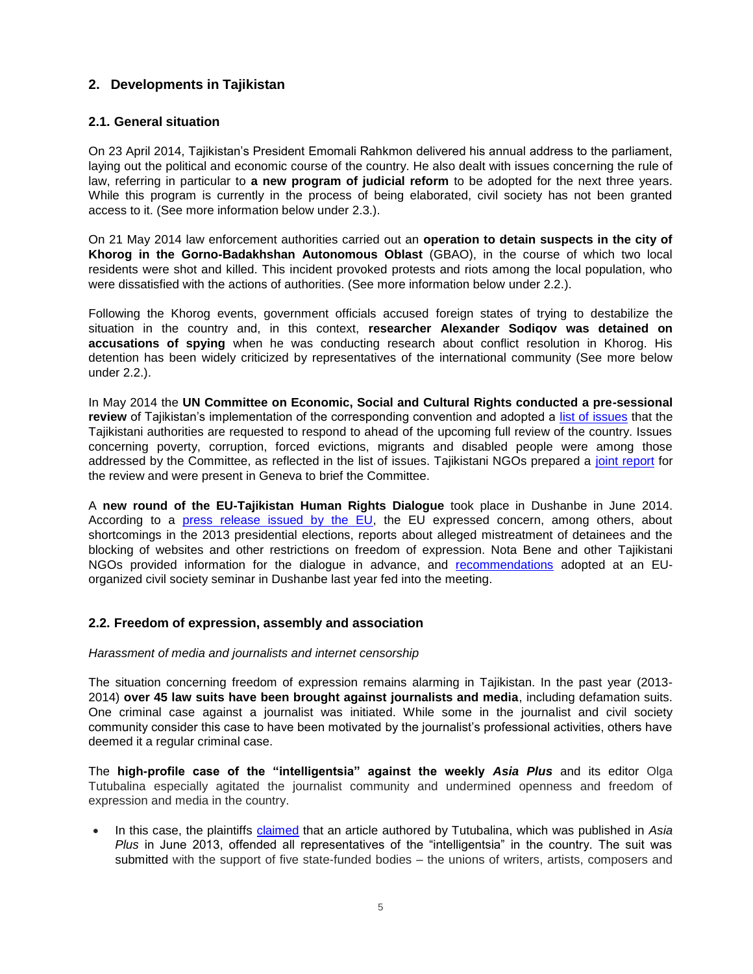# **2. Developments in Tajikistan**

# **2.1. General situation**

On 23 April 2014, Tajikistan's President Emomali Rahkmon delivered his annual address to the parliament, laying out the political and economic course of the country. He also dealt with issues concerning the rule of law, referring in particular to **a new program of judicial reform** to be adopted for the next three years. While this program is currently in the process of being elaborated, civil society has not been granted access to it. (See more information below under 2.3.).

On 21 May 2014 law enforcement authorities carried out an **operation to detain suspects in the city of Khorog in the Gorno-Badakhshan Autonomous Oblast** (GBAO), in the course of which two local residents were shot and killed. This incident provoked protests and riots among the local population, who were dissatisfied with the actions of authorities. (See more information below under 2.2.).

Following the Khorog events, government officials accused foreign states of trying to destabilize the situation in the country and, in this context, **researcher Alexander Sodiqov was detained on accusations of spying** when he was conducting research about conflict resolution in Khorog. His detention has been widely criticized by representatives of the international community (See more below under 2.2.).

In May 2014 the **UN Committee on Economic, Social and Cultural Rights conducted a pre-sessional review** of Tajikistan's implementation of the corresponding convention and adopted a [list of issues](http://tbinternet.ohchr.org/_layouts/treatybodyexternal/Download.aspx?symbolno=INT%2fCESCR%2fLIT%2fTJK%2f17337&Lang=en) that the Tajikistani authorities are requested to respond to ahead of the upcoming full review of the country. Issues concerning poverty, corruption, forced evictions, migrants and disabled people were among those addressed by the Committee, as reflected in the list of issues. Tajikistani NGOs prepared a [joint report](http://www.iphronline.org/tajikistan-ngo-report-for-un-rights-review-20140526.html) for the review and were present in Geneva to brief the Committee.

A **new round of the EU-Tajikistan Human Rights Dialogue** took place in Dushanbe in June 2014. According to a [press release issued by the EU,](http://eeas.europa.eu/delegations/tajikistan/press_corner/all_news/news/2014/20140618_01_en.htm) the EU expressed concern, among others, about shortcomings in the 2013 presidential elections, reports about alleged mistreatment of detainees and the blocking of websites and other restrictions on freedom of expression. Nota Bene and other Tajikistani NGOs provided information for the dialogue in advance, and [recommendations](http://notorture.tj/sites/default/files/file_attach/2014/04/29/eu_tajikistan_report_2013_en_final.pdf) adopted at an EUorganized civil society seminar in Dushanbe last year fed into the meeting.

## **2.2. Freedom of expression, assembly and association**

#### *Harassment of media and journalists and internet censorship*

The situation concerning freedom of expression remains alarming in Tajikistan. In the past year (2013- 2014) **over 45 law suits have been brought against journalists and media**, including defamation suits. One criminal case against a journalist was initiated. While some in the journalist and civil society community consider this case to have been motivated by the journalist's professional activities, others have deemed it a regular criminal case.

The **high-profile case of the "intelligentsia" against the weekly** *Asia Plus* and its editor Olga Tutubalina especially agitated the journalist community and undermined openness and freedom of expression and media in the country.

 In this case, the plaintiffs [claimed](http://www.avesta.tj/sociaty/23369-delo-intelligenciya-protiv-tutubalinoy-ili-istinnoe-lico-intelligencii.html) that an article authored by Tutubalina, which was published in *Asia Plus* in June 2013, offended all representatives of the "intelligentsia" in the country. The suit was submitted with the support of five state-funded bodies – the unions of writers, artists, composers and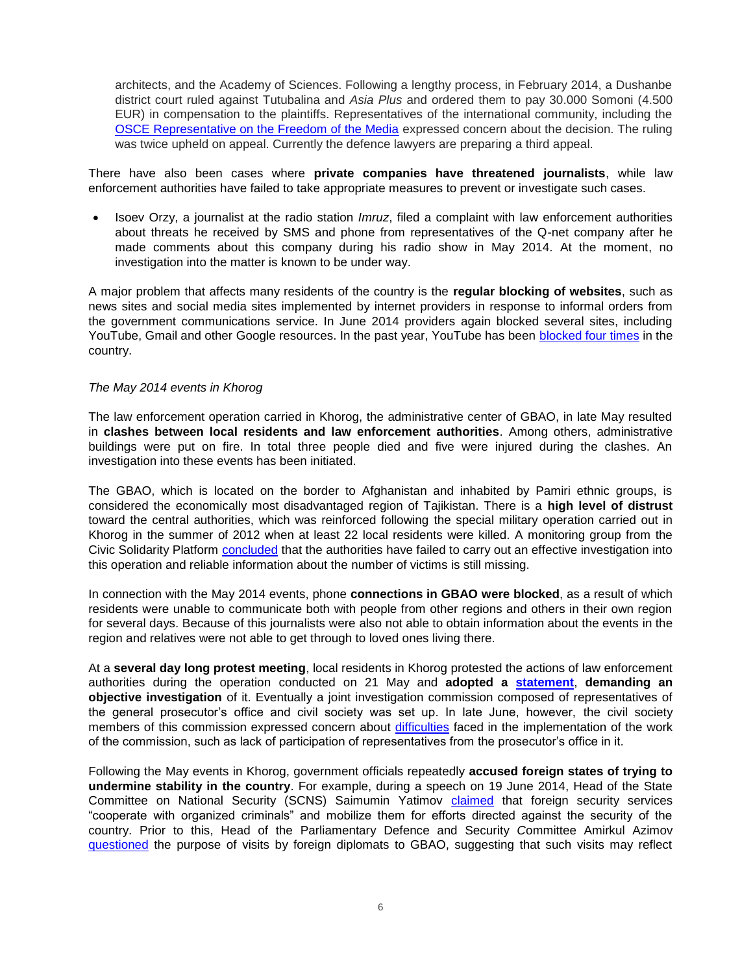architects, and the Academy of Sciences. Following a lengthy process, in February 2014, a Dushanbe district court ruled against Tutubalina and *Asia Plus* and ordered them to pay 30.000 Somoni (4.500 EUR) in compensation to the plaintiffs. Representatives of the international community, including the [OSCE Representative on the Freedom of the Media](http://www.osce.org/fom/115812) expressed concern about the decision. The ruling was twice upheld on appeal. Currently the defenсe lawyers are preparing a third appeal.

There have also been cases where **private companies have threatened journalists**, while law enforcement authorities have failed to take appropriate measures to prevent or investigate such cases.

 Isoev Orzy, a journalist at the radio station *Imruz*, filed a complaint with law enforcement authorities about threats he received by SMS and phone from representatives of the Q-net company after he made comments about this company during his radio show in May 2014. At the moment, no investigation into the matter is known to be under way.

A major problem that affects many residents of the country is the **regular blocking of websites**, such as news sites and social media sites implemented by internet providers in response to informal orders from the government communications service. In June 2014 providers again blocked several sites, including YouTube, Gmail and other Google resources. In the past year, YouTube has been [blocked four times](http://delate.info/29055-v-tadzhikistane-snova-zablokirovan-dostup-k-youtube.html) in the country.

#### *The May 2014 events in Khorog*

The law enforcement operation carried in Khorog, the administrative center of GBAO, in late May resulted in **clashes between local residents and law enforcement authorities**. Among others, administrative buildings were put on fire. In total three people died and five were injured during the clashes. An investigation into these events has been initiated.

The GBAO, which is located on the border to Afghanistan and inhabited by Pamiri ethnic groups, is considered the economically most disadvantaged region of Tajikistan. There is a **high level of distrust** toward the central authorities, which was reinforced following the special military operation carried out in Khorog in the summer of 2012 when at least 22 local residents were killed. A monitoring group from the Civic Solidarity Platform [concluded](http://civicsolidarity.org/sites/default/files/monitoring_report_en_final.pdf) that the authorities have failed to carry out an effective investigation into this operation and reliable information about the number of victims is still missing.

In connection with the May 2014 events, phone **connections in GBAO were blocked**, as a result of which residents were unable to communicate both with people from other regions and others in their own region for several days. Because of this journalists were also not able to obtain information about the events in the region and relatives were not able to get through to loved ones living there.

At a **several day long protest meeting**, local residents in Khorog protested the actions of law enforcement authorities during the operation conducted on 21 May and **adopted a [statement](http://www.fergananews.com/news/22211)**, **demanding an objective investigation** of it. Eventually a joint investigation commission composed of representatives of the general prosecutor's office and civil society was set up. In late June, however, the civil society members of this commission expressed concern about [difficulties](http://catoday.org/centrasia/tjru/14915-chleny-sovmestnoy-komissii-po-rassledovaniyu-sobytiy-v-horoge-govoryat-o-narusheniyah-v-ee-rabote.html) faced in the implementation of the work of the commission, such as lack of participation of representatives from the prosecutor's office in it.

Following the May events in Khorog, government officials repeatedly **accused foreign states of trying to undermine stability in the country**. For example, during a speech on 19 June 2014, Head of the State Committee on National Security (SCNS) Saimumin Yatimov [claimed](http://rus.ozodi.org/content/article/25427579.html) that foreign security services "cooperate with organized criminals" and mobilize them for efforts directed against the security of the country. Prior to this, Head of the Parliamentary Defence and Security *C*ommittee Amirkul Azimov [questioned](http://rus.ozodi.org/content/article/25393253.html) the purpose of visits by foreign diplomats to GBAO, suggesting that such visits may reflect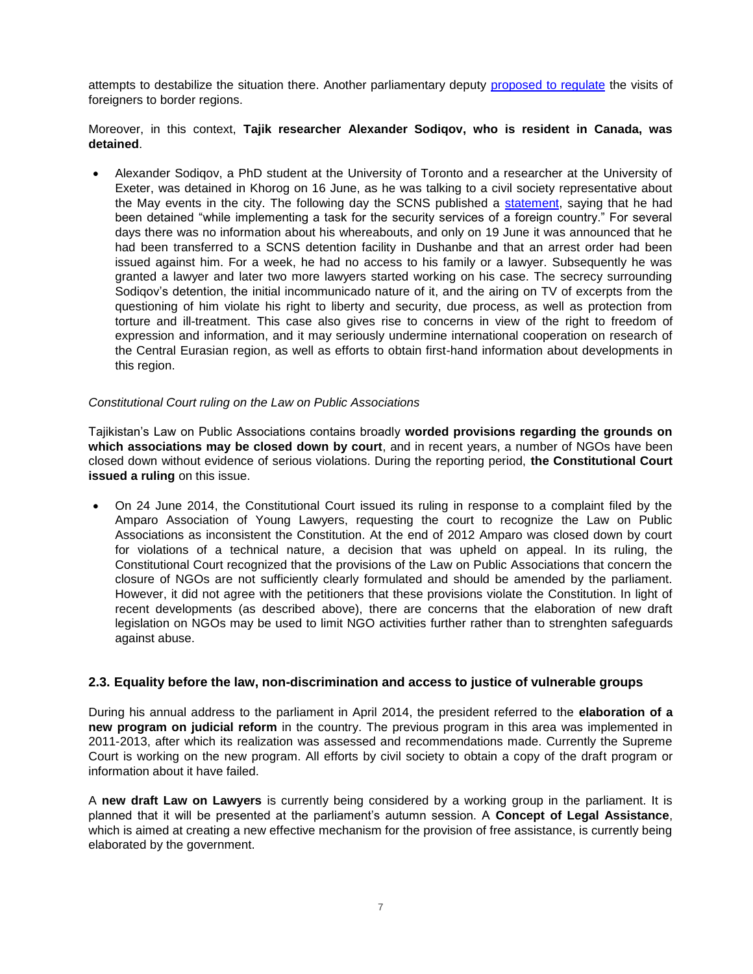attempts to destabilize the situation there. Another parliamentary deputy [proposed to regulate](http://rus.ozodi.org/content/article/25417733.html) the visits of foreigners to border regions.

Moreover, in this context, **Tajik researcher Alexander Sodiqov, who is resident in Canada, was detained**.

 Alexander Sodiqov, a PhD student at the University of Toronto and a researcher at the University of Exeter, was detained in Khorog on 16 June, as he was talking to a civil society representative about the May events in the city. The following day the SCNS published a [statement,](http://khovar.tj/rus/security/41306-zayavlenie-ugknb-rt-po-gbao.html) saying that he had been detained "while implementing a task for the security services of a foreign country." For several days there was no information about his whereabouts, and only on 19 June it was announced that he had been transferred to a SCNS detention facility in Dushanbe and that an arrest order had been issued against him. For a week, he had no access to his family or a lawyer. Subsequently he was granted a lawyer and later two more lawyers started working on his case. The secrecy surrounding Sodiqov's detention, the initial incommunicado nature of it, and the airing on TV of excerpts from the questioning of him violate his right to liberty and security, due process, as well as protection from torture and ill-treatment. This case also gives rise to concerns in view of the right to freedom of expression and information, and it may seriously undermine international cooperation on research of the Central Eurasian region, as well as efforts to obtain first-hand information about developments in this region.

#### *Constitutional Court ruling on the Law on Public Associations*

Tajikistan's Law on Public Associations contains broadly **worded provisions regarding the grounds on which associations may be closed down by court**, and in recent years, a number of NGOs have been closed down without evidence of serious violations. During the reporting period, **the Constitutional Court issued a ruling** on this issue.

 On 24 June 2014, the Constitutional Court issued its ruling in response to a complaint filed by the Amparo Association of Young Lawyers, requesting the court to recognize the Law on Public Associations as inconsistent the Constitution. At the end of 2012 Amparo was closed down by court for violations of a technical nature, a decision that was upheld on appeal. In its ruling, the Constitutional Court recognized that the provisions of the Law on Public Associations that concern the closure of NGOs are not sufficiently clearly formulated and should be amended by the parliament. However, it did not agree with the petitioners that these provisions violate the Constitution. In light of recent developments (as described above), there are concerns that the elaboration of new draft legislation on NGOs may be used to limit NGO activities further rather than to strenghten safeguards against abuse.

## **2.3. Equality before the law, non-discrimination and access to justice of vulnerable groups**

During his annual address to the parliament in April 2014, the president referred to the **elaboration of a new program on judicial reform** in the country. The previous program in this area was implemented in 2011-2013, after which its realization was assessed and recommendations made. Currently the Supreme Court is working on the new program. All efforts by civil society to obtain a copy of the draft program or information about it have failed.

A **new draft Law on Lawyers** is currently being considered by a working group in the parliament. It is planned that it will be presented at the parliament's autumn session. A **Concept of Legal Assistance**, which is aimed at creating a new effective mechanism for the provision of free assistance, is currently being elaborated by the government.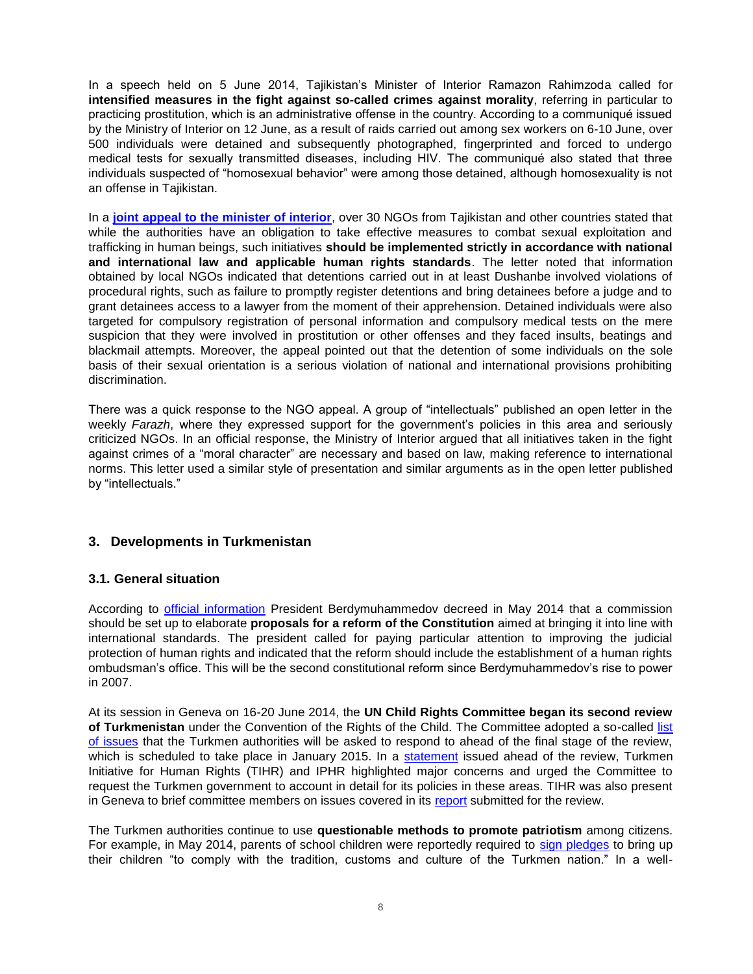In a speech held on 5 June 2014, Tajikistan's Minister of Interior Ramazon Rahimzoda called for **intensified measures in the fight against so-called crimes against morality**, referring in particular to practicing prostitution, which is an administrative offense in the country. According to a communiqué issued by the Ministry of Interior on 12 June, as a result of raids carried out among sex workers on 6-10 June, over 500 individuals were detained and subsequently photographed, fingerprinted and forced to undergo medical tests for sexually transmitted diseases, including HIV. The communiqué also stated that three individuals suspected of "homosexual behavior" were among those detained, although homosexuality is not an offense in Tajikistan.

In a **[joint appeal to the minister of interior](http://www.iphronline.org/tajikistan-open-letter-about-fight-against-so-called-crimes-against-morality-20140618.html)**, over 30 NGOs from Tajikistan and other countries stated that while the authorities have an obligation to take effective measures to combat sexual exploitation and trafficking in human beings, such initiatives **should be implemented strictly in accordance with national and international law and applicable human rights standards**. The letter noted that information obtained by local NGOs indicated that detentions carried out in at least Dushanbe involved violations of procedural rights, such as failure to promptly register detentions and bring detainees before a judge and to grant detainees access to a lawyer from the moment of their apprehension. Detained individuals were also targeted for compulsory registration of personal information and compulsory medical tests on the mere suspicion that they were involved in prostitution or other offenses and they faced insults, beatings and blackmail attempts. Moreover, the appeal pointed out that the detention of some individuals on the sole basis of their sexual orientation is a serious violation of national and international provisions prohibiting discrimination.

There was a quick response to the NGO appeal. A group of "intellectuals" published an open letter in the weekly *Farazh*, where they expressed support for the government's policies in this area and seriously criticized NGOs. In an official response, the Ministry of Interior argued that all initiatives taken in the fight against crimes of a "moral character" are necessary and based on law, making reference to international norms. This letter used a similar style of presentation and similar arguments as in the open letter published by "intellectuals."

## **3. Developments in Turkmenistan**

## **3.1. General situation**

According to **official information** President Berdymuhammedov decreed in May 2014 that a commission should be set up to elaborate **proposals for a reform of the Constitution** aimed at bringing it into line with international standards. The president called for paying particular attention to improving the judicial protection of human rights and indicated that the reform should include the establishment of a human rights ombudsman's office. This will be the second constitutional reform since Berdymuhammedov's rise to power in 2007.

At its session in Geneva on 16-20 June 2014, the **UN Child Rights Committee began its second review of Turkmenistan** under the Convention of the Rights of the Child. The Committee adopted a so-called [list](http://tbinternet.ohchr.org/_layouts/treatybodyexternal/Download.aspx?symbolno=CRC%2fC%2fTKM%2fQ%2f2-4&Lang=en)  [of issues](http://tbinternet.ohchr.org/_layouts/treatybodyexternal/Download.aspx?symbolno=CRC%2fC%2fTKM%2fQ%2f2-4&Lang=en) that the Turkmen authorities will be asked to respond to ahead of the final stage of the review, which is scheduled to take place in January 2015. In a [statement](http://www.iphronline.org/turkmenistan-un-body-to-take-stock-of-the-state-of-child-rights-20140617.html) issued ahead of the review, Turkmen Initiative for Human Rights (TIHR) and IPHR highlighted major concerns and urged the Committee to request the Turkmen government to account in detail for its policies in these areas. TIHR was also present in Geneva to brief committee members on issues covered in its [report](http://www.chrono-tm.org/en/wp-content/uploads/Turkmen-Initiative-for-Human-Rights-Alternative-Report-on-Turkmenistan-Committe-on-the-Rights-of-the-Child-February-2014.pdf) submitted for the review.

The Turkmen authorities continue to use **questionable methods to promote patriotism** among citizens. For example, in May 2014, parents of school children were reportedly required to [sign pledges](http://www.chrono-tm.org/2014/05/v-turkmenistane-opredelenyi-obyazatelstva-dlya-shkolnikov-i-ih-roditeley/) to bring up their children "to comply with the tradition, customs and culture of the Turkmen nation." In a well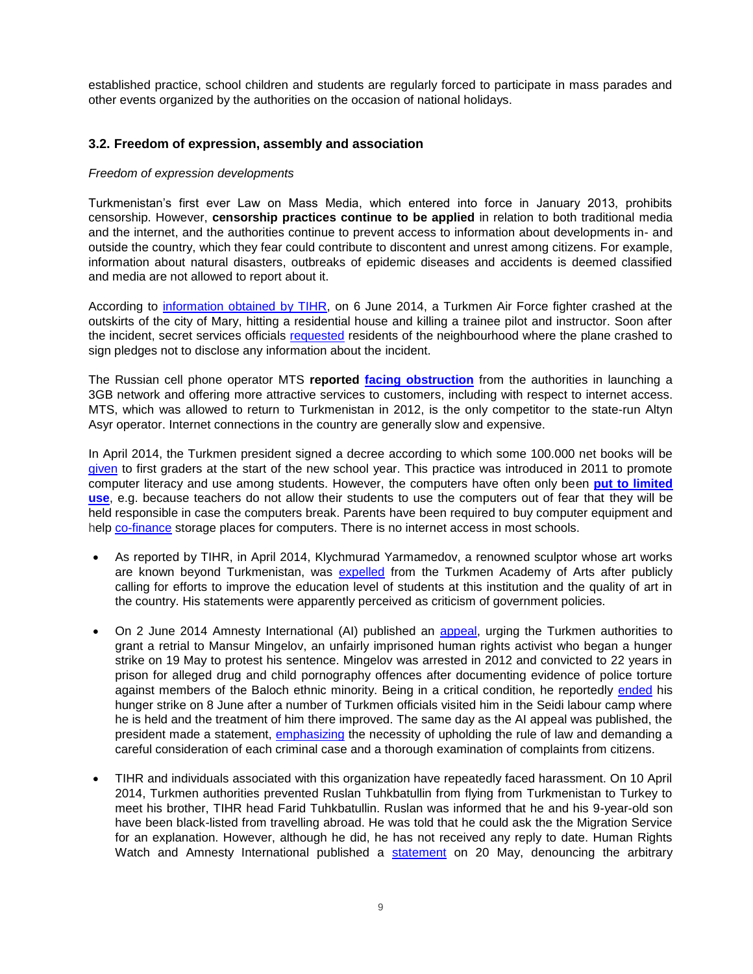established practice, school children and students are regularly forced to participate in mass parades and other events organized by the authorities on the occasion of national holidays.

### **3.2. Freedom of expression, assembly and association**

#### *Freedom of expression developments*

Turkmenistan's first ever Law on Mass Media, which entered into force in January 2013, prohibits censorship. However, **censorship practices continue to be applied** in relation to both traditional media and the internet, and the authorities continue to prevent access to information about developments in- and outside the country, which they fear could contribute to discontent and unrest among citizens. For example, information about natural disasters, outbreaks of epidemic diseases and accidents is deemed classified and media are not allowed to report about it.

According to [information obtained by TIHR,](http://www.chrono-tm.org/en/2014/06/two-people-killed-as-turkmen-air-force-fighter-plane-crashes/) on 6 June 2014, a Turkmen Air Force fighter crashed at the outskirts of the city of Mary, hitting a residential house and killing a trainee pilot and instructor. Soon after the incident, secret services officials [requested](http://www.chrono-tm.org/en/2014/06/fighter-aircraft-of-the-turkmen-air-forces-crashed-into-a-house/) residents of the neighbourhood where the plane crashed to sign pledges not to disclose any information about the incident.

The Russian cell phone operator MTS **reported [facing obstruction](http://www.chrono-tm.org/2014/04/turkmeniya-ne-daet-mts-razvivat-3g/)** from the authorities in launching a 3GB network and offering more attractive services to customers, including with respect to internet access. MTS, which was allowed to return to Turkmenistan in 2012, is the only competitor to the state-run Altyn Asyr operator. Internet connections in the country are generally slow and expensive.

In April 2014, the Turkmen president signed a decree according to which some 100.000 net books will be [given](http://www.turkmenistan.ru/ru/articles/39642.html) to first graders at the start of the new school year. This practice was introduced in 2011 to promote computer literacy and use among students. However, the computers have often only been **[put to limited](http://www.chrono-tm.org/en/2012/07/useless-gift/)  [use](http://www.chrono-tm.org/en/2012/07/useless-gift/)**, e.g. because teachers do not allow their students to use the computers out of fear that they will be held responsible in case the computers break. Parents have been required to buy computer equipment and help [co-finance](http://www.chrono-tm.org/en/2012/10/school-auctions-are-over/) storage places for computers. There is no internet access in most schools.

- As reported by TIHR, in April 2014, Klychmurad Yarmamedov, a renowned sculptor whose art works are known beyond Turkmenistan, was [expelled](http://www.chrono-tm.org/en/2014/05/honorary-member-of-the-russian-academy-of-arts-expelled-from-turkmenistans-academy-of-arts/) from the Turkmen Academy of Arts after publicly calling for efforts to improve the education level of students at this institution and the quality of art in the country. His statements were apparently perceived as criticism of government policies.
- On 2 June 2014 Amnesty International (AI) published an [appeal,](http://www.amnesty.org/en/news/turkmenistan-must-grant-retrial-hunger-strike-prisoner-brink-death-2014-06-02) urging the Turkmen authorities to grant a retrial to Mansur Mingelov, an unfairly imprisoned human rights activist who began a hunger strike on 19 May to protest his sentence. Mingelov was arrested in 2012 and convicted to 22 years in prison for alleged drug and child pornography offences after documenting evidence of police torture against members of the Baloch ethnic minority. Being in a critical condition, he reportedly [ended](http://www.amnesty.org/en/library/asset/EUR61/004/2014/en/be694288-e72d-4c58-980f-7d7bca81bd46/eur610042014en.html) his hunger strike on 8 June after a number of Turkmen officials visited him in the Seidi labour camp where he is held and the treatment of him there improved. The same day as the AI appeal was published, the president made a statement, *emphasizing* the necessity of upholding the rule of law and demanding a careful consideration of each criminal case and a thorough examination of complaints from citizens.
- TIHR and individuals associated with this organization have repeatedly faced harassment. On 10 April 2014, Turkmen authorities prevented Ruslan Tuhkbatullin from flying from Turkmenistan to Turkey to meet his brother, TIHR head Farid Tuhkbatullin. Ruslan was informed that he and his 9-year-old son have been black-listed from travelling abroad. He was told that he could ask the the Migration Service for an explanation. However, although he did, he has not received any reply to date. Human Rights Watch and Amnesty International published a [statement](http://www.hrw.org/news/2014/05/19/turkmenistan-activist-s-family-barred-travel-abroad) on 20 May, denouncing the arbitrary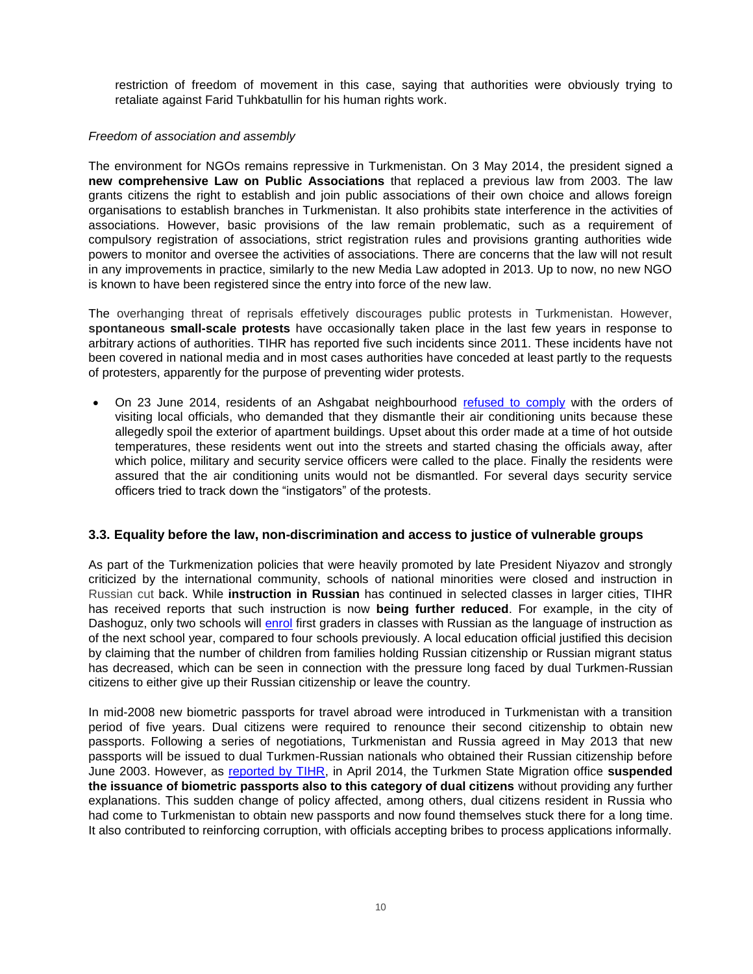restriction of freedom of movement in this case, saying that authorities were obviously trying to retaliate against Farid Tuhkbatullin for his human rights work.

#### *Freedom of association and assembly*

The environment for NGOs remains repressive in Turkmenistan. On 3 May 2014, the president signed a **new comprehensive Law on Public Associations** that replaced a previous law from 2003. The law grants citizens the right to establish and join public associations of their own choice and allows foreign organisations to establish branches in Turkmenistan. It also prohibits state interference in the activities of associations. However, basic provisions of the law remain problematic, such as a requirement of compulsory registration of associations, strict registration rules and provisions granting authorities wide powers to monitor and oversee the activities of associations. There are concerns that the law will not result in any improvements in practice, similarly to the new Media Law adopted in 2013. Up to now, no new NGO is known to have been registered since the entry into force of the new law.

The overhanging threat of reprisals effetively discourages public protests in Turkmenistan. However, **spontaneous small-scale protests** have occasionally taken place in the last few years in response to arbitrary actions of authorities. TIHR has reported five such incidents since 2011. These incidents have not been covered in national media and in most cases authorities have conceded at least partly to the requests of protesters, apparently for the purpose of preventing wider protests.

 On 23 June 2014, residents of an Ashgabat neighbourhood [refused to comply](http://www.chrono-tm.org/en/2014/06/a-heated-clash-in-one-of-ashgabats-districts/) with the orders of visiting local officials, who demanded that they dismantle their air conditioning units because these allegedly spoil the exterior of apartment buildings. Upset about this order made at a time of hot outside temperatures, these residents went out into the streets and started chasing the officials away, after which police, military and security service officers were called to the place. Finally the residents were assured that the air conditioning units would not be dismantled. For several days security service officers tried to track down the "instigators" of the protests.

## **3.3. Equality before the law, non-discrimination and access to justice of vulnerable groups**

As part of the Turkmenization policies that were heavily promoted by late President Niyazov and strongly criticized by the international community, schools of national minorities were closed and instruction in Russian cut back. While **instruction in Russian** has continued in selected classes in larger cities, TIHR has received reports that such instruction is now **being further reduced**. For example, in the city of Dashoguz, only two schools will [enrol](http://www.chrono-tm.org/en/2014/07/the-use-of-russian-language-in-education-to-be-reduced-in-turkmenistan/) first graders in classes with Russian as the language of instruction as of the next school year, compared to four schools previously. A local education official justified this decision by claiming that the number of children from families holding Russian citizenship or Russian migrant status has decreased, which can be seen in connection with the pressure long faced by dual Turkmen-Russian citizens to either give up their Russian citizenship or leave the country.

In mid-2008 new biometric passports for travel abroad were introduced in Turkmenistan with a transition period of five years. Dual citizens were required to renounce their second citizenship to obtain new passports. Following a series of negotiations, Turkmenistan and Russia agreed in May 2013 that new passports will be issued to dual Turkmen-Russian nationals who obtained their Russian citizenship before June 2003. However, as [reported by TIHR,](http://www.chrono-tm.org/en/2014/04/dual-nationals-face-new-problems/) in April 2014, the Turkmen State Migration office **suspended the issuance of biometric passports also to this category of dual citizens** without providing any further explanations. This sudden change of policy affected, among others, dual citizens resident in Russia who had come to Turkmenistan to obtain new passports and now found themselves stuck there for a long time. It also contributed to reinforcing corruption, with officials accepting bribes to process applications informally.